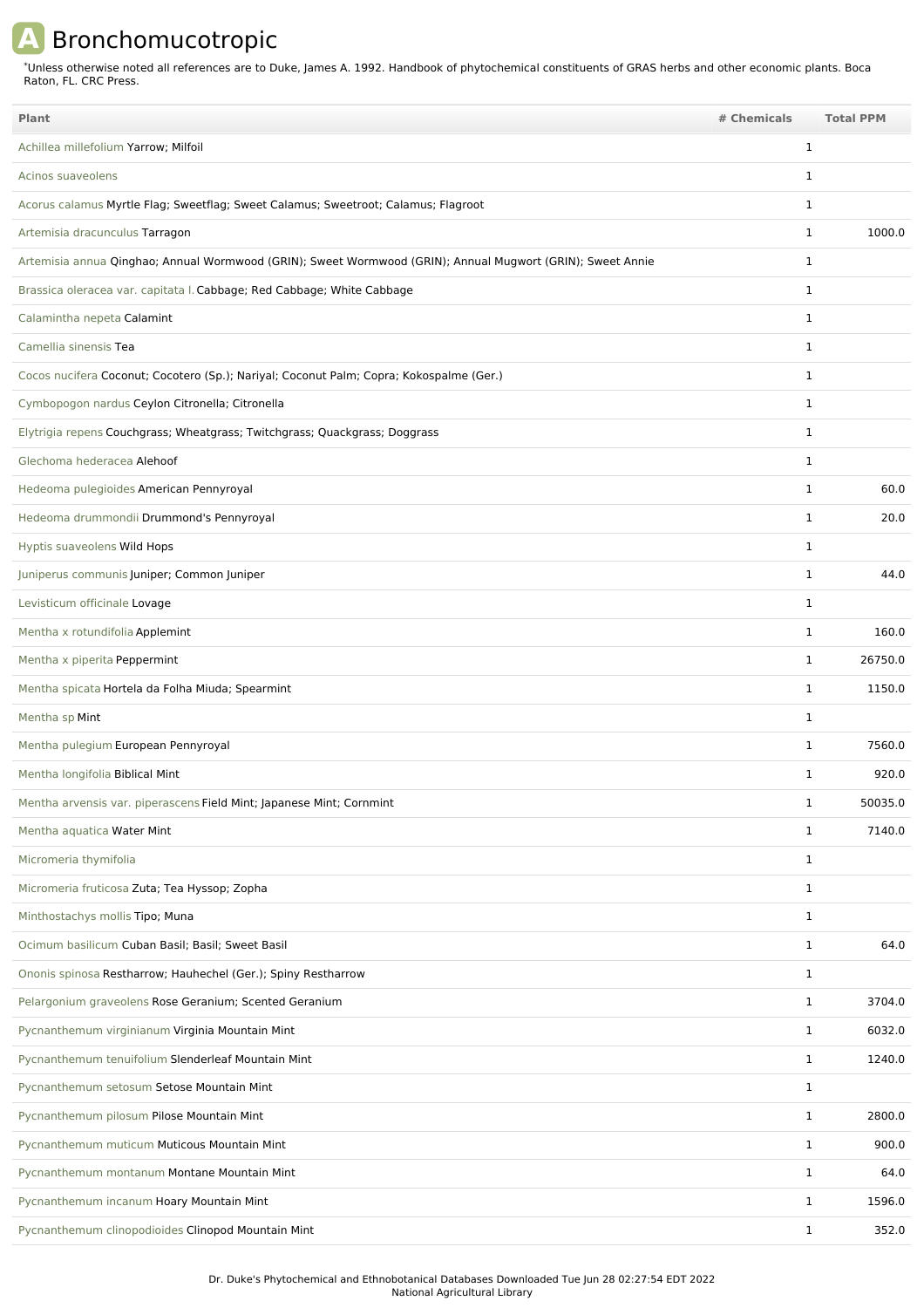## **A** Bronchomucotropic

Unless otherwise noted all references are to Duke, James A. 1992. Handbook of phytochemical constituents of GRAS herbs and other economic plants. Boca Raton, FL. CRC Press. \*

| Plant                                                                                                      | # Chemicals |              | <b>Total PPM</b> |
|------------------------------------------------------------------------------------------------------------|-------------|--------------|------------------|
| Achillea millefolium Yarrow; Milfoil                                                                       |             | 1            |                  |
| Acinos suaveolens                                                                                          |             | 1            |                  |
| Acorus calamus Myrtle Flag; Sweetflag; Sweet Calamus; Sweetroot; Calamus; Flagroot                         |             | $\mathbf{1}$ |                  |
| Artemisia dracunculus Tarragon                                                                             |             | $\mathbf{1}$ | 1000.0           |
| Artemisia annua Qinghao; Annual Wormwood (GRIN); Sweet Wormwood (GRIN); Annual Mugwort (GRIN); Sweet Annie |             | $\mathbf{1}$ |                  |
| Brassica oleracea var. capitata I. Cabbage; Red Cabbage; White Cabbage                                     |             | $\mathbf{1}$ |                  |
| Calamintha nepeta Calamint                                                                                 |             | 1            |                  |
| Camellia sinensis Tea                                                                                      |             | $\mathbf{1}$ |                  |
| Cocos nucifera Coconut; Cocotero (Sp.); Nariyal; Coconut Palm; Copra; Kokospalme (Ger.)                    |             | 1            |                  |
| Cymbopogon nardus Ceylon Citronella; Citronella                                                            |             | $\mathbf{1}$ |                  |
| Elytrigia repens Couchgrass; Wheatgrass; Twitchgrass; Quackgrass; Doggrass                                 |             | 1            |                  |
| Glechoma hederacea Alehoof                                                                                 |             | $\mathbf{1}$ |                  |
| Hedeoma pulegioides American Pennyroyal                                                                    |             | $\mathbf{1}$ | 60.0             |
| Hedeoma drummondii Drummond's Pennyroyal                                                                   |             | $\mathbf{1}$ | 20.0             |
| Hyptis suaveolens Wild Hops                                                                                |             | 1            |                  |
| Juniperus communis Juniper; Common Juniper                                                                 |             | $\mathbf{1}$ | 44.0             |
| Levisticum officinale Lovage                                                                               |             | $\mathbf{1}$ |                  |
| Mentha x rotundifolia Applemint                                                                            |             | $\mathbf{1}$ | 160.0            |
| Mentha x piperita Peppermint                                                                               |             | $\mathbf{1}$ | 26750.0          |
| Mentha spicata Hortela da Folha Miuda; Spearmint                                                           |             | $\mathbf{1}$ | 1150.0           |
| Mentha sp Mint                                                                                             |             | $\mathbf{1}$ |                  |
| Mentha pulegium European Pennyroyal                                                                        |             | $\mathbf{1}$ | 7560.0           |
| Mentha longifolia Biblical Mint                                                                            |             | $\mathbf{1}$ | 920.0            |
| Mentha arvensis var. piperascens Field Mint; Japanese Mint; Cornmint                                       |             | 1            | 50035.0          |
| Mentha aquatica Water Mint                                                                                 |             | $\mathbf{1}$ | 7140.0           |
| Micromeria thymifolia                                                                                      |             | $\mathbf{1}$ |                  |
| Micromeria fruticosa Zuta; Tea Hyssop; Zopha                                                               |             | $\mathbf{1}$ |                  |
| Minthostachys mollis Tipo; Muna                                                                            |             | $\mathbf{1}$ |                  |
| Ocimum basilicum Cuban Basil; Basil; Sweet Basil                                                           |             | $\mathbf{1}$ | 64.0             |
| Ononis spinosa Restharrow; Hauhechel (Ger.); Spiny Restharrow                                              |             | $\mathbf{1}$ |                  |
| Pelargonium graveolens Rose Geranium; Scented Geranium                                                     |             | $\mathbf{1}$ | 3704.0           |
| Pycnanthemum virginianum Virginia Mountain Mint                                                            |             | $\mathbf{1}$ | 6032.0           |
| Pycnanthemum tenuifolium Slenderleaf Mountain Mint                                                         |             | $\mathbf{1}$ | 1240.0           |
| Pycnanthemum setosum Setose Mountain Mint                                                                  |             | $\mathbf{1}$ |                  |
| Pycnanthemum pilosum Pilose Mountain Mint                                                                  |             | $\mathbf{1}$ | 2800.0           |
| Pycnanthemum muticum Muticous Mountain Mint                                                                |             | $\mathbf{1}$ | 900.0            |
| Pycnanthemum montanum Montane Mountain Mint                                                                |             | $\mathbf{1}$ | 64.0             |
| Pycnanthemum incanum Hoary Mountain Mint                                                                   |             | $\mathbf{1}$ | 1596.0           |
| Pycnanthemum clinopodioides Clinopod Mountain Mint                                                         |             | $\mathbf{1}$ | 352.0            |